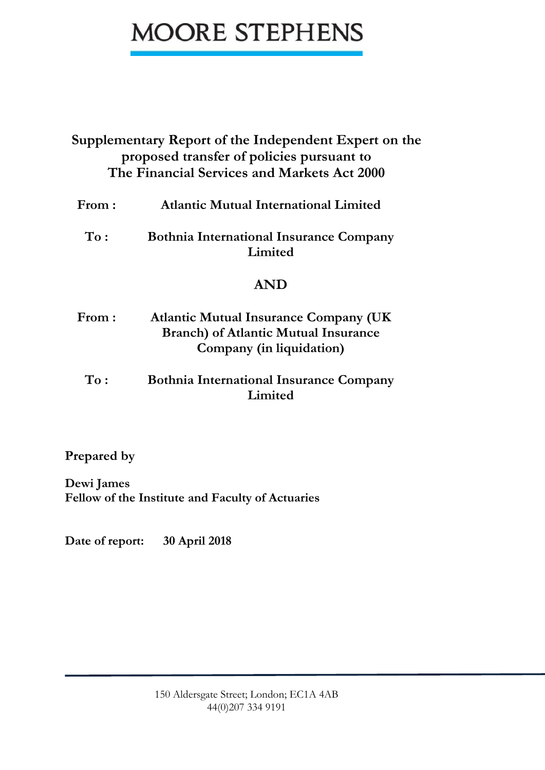### **Supplementary Report of the Independent Expert on the proposed transfer of policies pursuant to The Financial Services and Markets Act 2000**

### **From : Atlantic Mutual International Limited**

**To : Bothnia International Insurance Company Limited**

### **AND**

- **From : Atlantic Mutual Insurance Company (UK Branch) of Atlantic Mutual Insurance Company (in liquidation)**
	- **To : Bothnia International Insurance Company Limited**

**Prepared by**

**Dewi James Fellow of the Institute and Faculty of Actuaries**

**Date of report: 30 April 2018**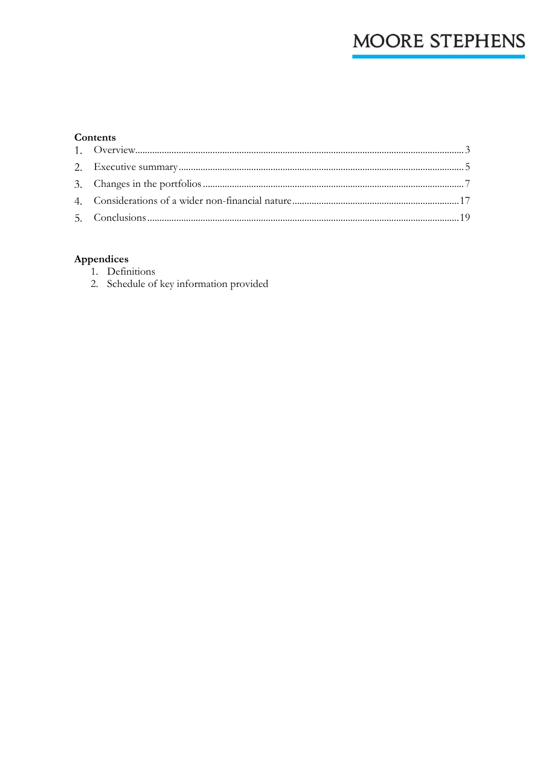### Contents

### Appendices

- 1. Definitions
- 2. Schedule of key information provided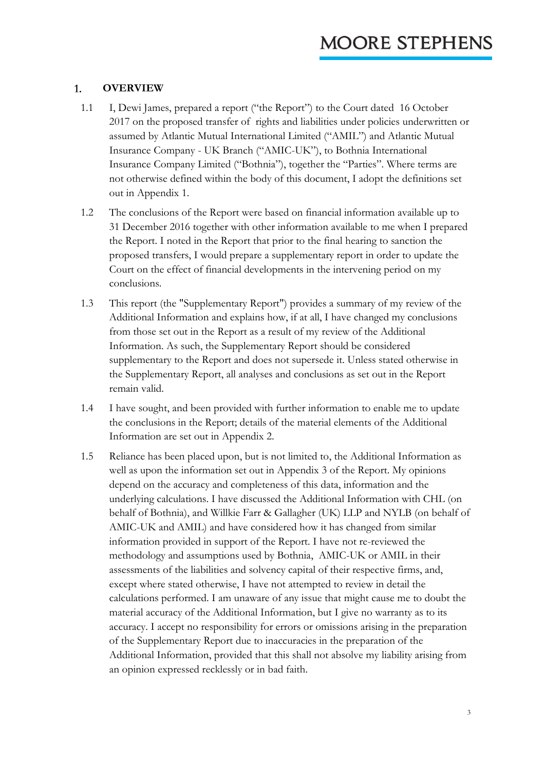#### <span id="page-2-0"></span> $1.$ **OVERVIEW**

- 1.1 I, Dewi James, prepared a report ("the Report") to the Court dated 16 October 2017 on the proposed transfer of rights and liabilities under policies underwritten or assumed by Atlantic Mutual International Limited ("AMIL") and Atlantic Mutual Insurance Company - UK Branch ("AMIC-UK"), to Bothnia International Insurance Company Limited ("Bothnia"), together the "Parties". Where terms are not otherwise defined within the body of this document, I adopt the definitions set out in Appendix 1.
- 1.2 The conclusions of the Report were based on financial information available up to 31 December 2016 together with other information available to me when I prepared the Report. I noted in the Report that prior to the final hearing to sanction the proposed transfers, I would prepare a supplementary report in order to update the Court on the effect of financial developments in the intervening period on my conclusions.
- 1.3 This report (the "Supplementary Report") provides a summary of my review of the Additional Information and explains how, if at all, I have changed my conclusions from those set out in the Report as a result of my review of the Additional Information. As such, the Supplementary Report should be considered supplementary to the Report and does not supersede it. Unless stated otherwise in the Supplementary Report, all analyses and conclusions as set out in the Report remain valid.
- 1.4 I have sought, and been provided with further information to enable me to update the conclusions in the Report; details of the material elements of the Additional Information are set out in Appendix 2.
- 1.5 Reliance has been placed upon, but is not limited to, the Additional Information as well as upon the information set out in Appendix 3 of the Report. My opinions depend on the accuracy and completeness of this data, information and the underlying calculations. I have discussed the Additional Information with CHL (on behalf of Bothnia), and Willkie Farr & Gallagher (UK) LLP and NYLB (on behalf of AMIC-UK and AMIL) and have considered how it has changed from similar information provided in support of the Report. I have not re-reviewed the methodology and assumptions used by Bothnia, AMIC-UK or AMIL in their assessments of the liabilities and solvency capital of their respective firms, and, except where stated otherwise, I have not attempted to review in detail the calculations performed. I am unaware of any issue that might cause me to doubt the material accuracy of the Additional Information, but I give no warranty as to its accuracy. I accept no responsibility for errors or omissions arising in the preparation of the Supplementary Report due to inaccuracies in the preparation of the Additional Information, provided that this shall not absolve my liability arising from an opinion expressed recklessly or in bad faith.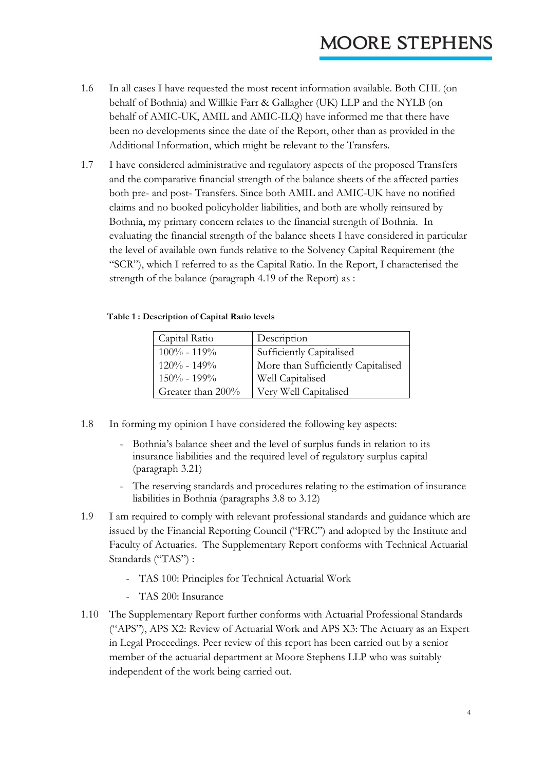- 1.6 In all cases I have requested the most recent information available. Both CHL (on behalf of Bothnia) and Willkie Farr & Gallagher (UK) LLP and the NYLB (on behalf of AMIC-UK, AMIL and AMIC-ILQ) have informed me that there have been no developments since the date of the Report, other than as provided in the Additional Information, which might be relevant to the Transfers.
- 1.7 I have considered administrative and regulatory aspects of the proposed Transfers and the comparative financial strength of the balance sheets of the affected parties both pre- and post- Transfers. Since both AMIL and AMIC-UK have no notified claims and no booked policyholder liabilities, and both are wholly reinsured by Bothnia, my primary concern relates to the financial strength of Bothnia. In evaluating the financial strength of the balance sheets I have considered in particular the level of available own funds relative to the Solvency Capital Requirement (the "SCR"), which I referred to as the Capital Ratio. In the Report, I characterised the strength of the balance (paragraph 4.19 of the Report) as :

#### **Table 1 : Description of Capital Ratio levels**

| Capital Ratio     | Description                        |
|-------------------|------------------------------------|
| $100\% - 119\%$   | <b>Sufficiently Capitalised</b>    |
| $120\% - 149\%$   | More than Sufficiently Capitalised |
| $150\% - 199\%$   | Well Capitalised                   |
| Greater than 200% | Very Well Capitalised              |

- 1.8 In forming my opinion I have considered the following key aspects:
	- Bothnia's balance sheet and the level of surplus funds in relation to its insurance liabilities and the required level of regulatory surplus capital (paragraph [3.21\)](#page-12-0)
	- The reserving standards and procedures relating to the estimation of insurance liabilities in Bothnia (paragraphs [3.8](#page-9-0) to [3.12\)](#page-10-0)
- 1.9 I am required to comply with relevant professional standards and guidance which are issued by the Financial Reporting Council ("FRC") and adopted by the Institute and Faculty of Actuaries. The Supplementary Report conforms with Technical Actuarial Standards ("TAS") :
	- TAS 100: Principles for Technical Actuarial Work
	- TAS 200: Insurance
- 1.10 The Supplementary Report further conforms with Actuarial Professional Standards ("APS"), APS X2: Review of Actuarial Work and APS X3: The Actuary as an Expert in Legal Proceedings. Peer review of this report has been carried out by a senior member of the actuarial department at Moore Stephens LLP who was suitably independent of the work being carried out.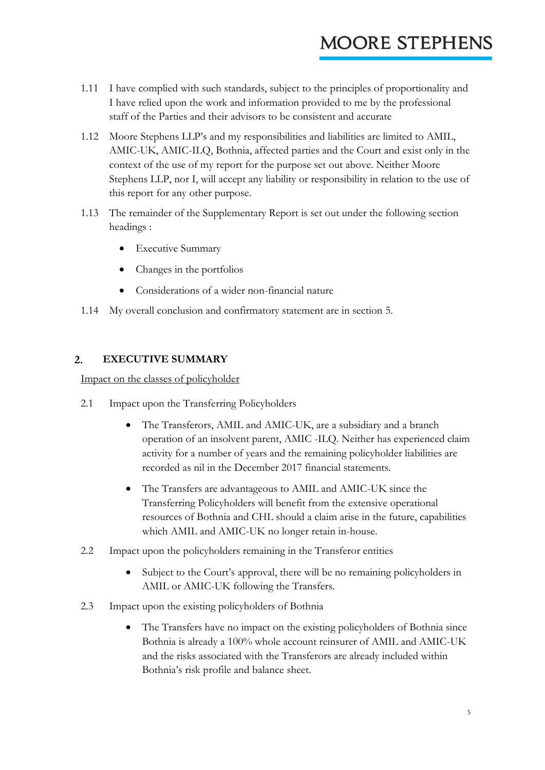- 1.11 I have complied with such standards, subject to the principles of proportionality and I have relied upon the work and information provided to me by the professional staff of the Parties and their advisors to be consistent and accurate
- 1.12 Moore Stephens LLP's and my responsibilities and liabilities are limited to AMIL, AMIC-UK, AMIC-ILQ, Bothnia, affected parties and the Court and exist only in the context of the use of my report for the purpose set out above. Neither Moore Stephens LLP, nor I, will accept any liability or responsibility in relation to the use of this report for any other purpose.
- 1.13 The remainder of the Supplementary Report is set out under the following section headings :
	- Executive Summary
	- Changes in the portfolios
	- Considerations of a wider non-financial nature
- 1.14 My overall conclusion and confirmatory statement are in section [5.](#page-18-0)

#### <span id="page-4-0"></span> $2.$ **EXECUTIVE SUMMARY**

### Impact on the classes of policyholder

- 2.1 Impact upon the Transferring Policyholders
	- The Transferors, AMIL and AMIC-UK, are a subsidiary and a branch operation of an insolvent parent, AMIC -ILQ. Neither has experienced claim activity for a number of years and the remaining policyholder liabilities are recorded as nil in the December 2017 financial statements.
	- The Transfers are advantageous to AMIL and AMIC-UK since the Transferring Policyholders will benefit from the extensive operational resources of Bothnia and CHL should a claim arise in the future, capabilities which AMIL and AMIC-UK no longer retain in-house.
- 2.2 Impact upon the policyholders remaining in the Transferor entities
	- Subject to the Court's approval, there will be no remaining policyholders in AMIL or AMIC-UK following the Transfers.
- 2.3 Impact upon the existing policyholders of Bothnia
	- The Transfers have no impact on the existing policyholders of Bothnia since Bothnia is already a 100% whole account reinsurer of AMIL and AMIC-UK and the risks associated with the Transferors are already included within Bothnia's risk profile and balance sheet.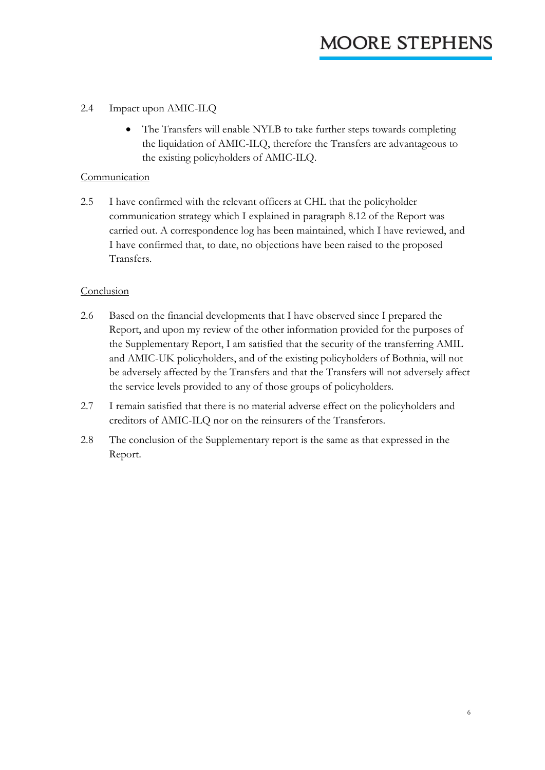### 2.4 Impact upon AMIC-ILQ

 The Transfers will enable NYLB to take further steps towards completing the liquidation of AMIC-ILQ, therefore the Transfers are advantageous to the existing policyholders of AMIC-ILQ.

#### Communication

2.5 I have confirmed with the relevant officers at CHL that the policyholder communication strategy which I explained in paragraph 8.12 of the Report was carried out. A correspondence log has been maintained, which I have reviewed, and I have confirmed that, to date, no objections have been raised to the proposed Transfers.

### Conclusion

- 2.6 Based on the financial developments that I have observed since I prepared the Report, and upon my review of the other information provided for the purposes of the Supplementary Report, I am satisfied that the security of the transferring AMIL and AMIC-UK policyholders, and of the existing policyholders of Bothnia, will not be adversely affected by the Transfers and that the Transfers will not adversely affect the service levels provided to any of those groups of policyholders.
- 2.7 I remain satisfied that there is no material adverse effect on the policyholders and creditors of AMIC-ILQ nor on the reinsurers of the Transferors.
- 2.8 The conclusion of the Supplementary report is the same as that expressed in the Report.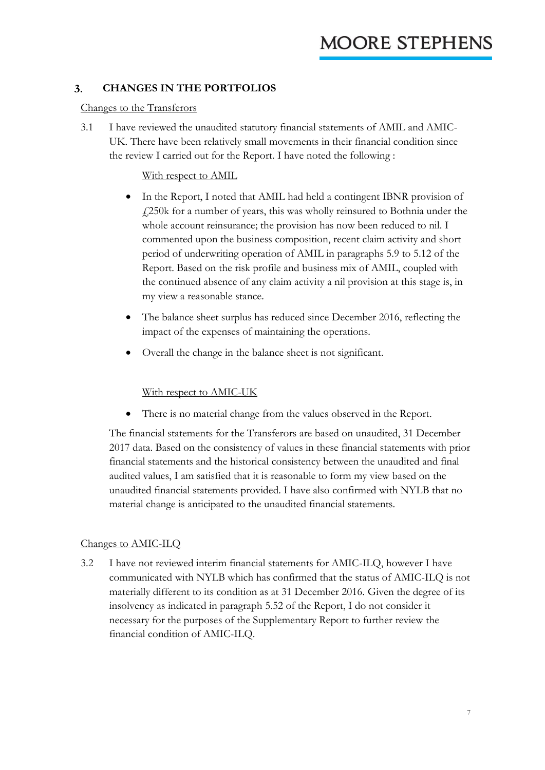#### <span id="page-6-0"></span> $3.$ **CHANGES IN THE PORTFOLIOS**

#### Changes to the Transferors

3.1 I have reviewed the unaudited statutory financial statements of AMIL and AMIC-UK. There have been relatively small movements in their financial condition since the review I carried out for the Report. I have noted the following :

### With respect to AMIL

- In the Report, I noted that AMIL had held a contingent IBNR provision of £250k for a number of years, this was wholly reinsured to Bothnia under the whole account reinsurance; the provision has now been reduced to nil. I commented upon the business composition, recent claim activity and short period of underwriting operation of AMIL in paragraphs 5.9 to 5.12 of the Report. Based on the risk profile and business mix of AMIL, coupled with the continued absence of any claim activity a nil provision at this stage is, in my view a reasonable stance.
- The balance sheet surplus has reduced since December 2016, reflecting the impact of the expenses of maintaining the operations.
- Overall the change in the balance sheet is not significant.

### With respect to AMIC-UK

There is no material change from the values observed in the Report.

The financial statements for the Transferors are based on unaudited, 31 December 2017 data. Based on the consistency of values in these financial statements with prior financial statements and the historical consistency between the unaudited and final audited values, I am satisfied that it is reasonable to form my view based on the unaudited financial statements provided. I have also confirmed with NYLB that no material change is anticipated to the unaudited financial statements.

#### Changes to AMIC-ILQ

3.2 I have not reviewed interim financial statements for AMIC-ILQ, however I have communicated with NYLB which has confirmed that the status of AMIC-ILQ is not materially different to its condition as at 31 December 2016. Given the degree of its insolvency as indicated in paragraph 5.52 of the Report, I do not consider it necessary for the purposes of the Supplementary Report to further review the financial condition of AMIC-ILQ.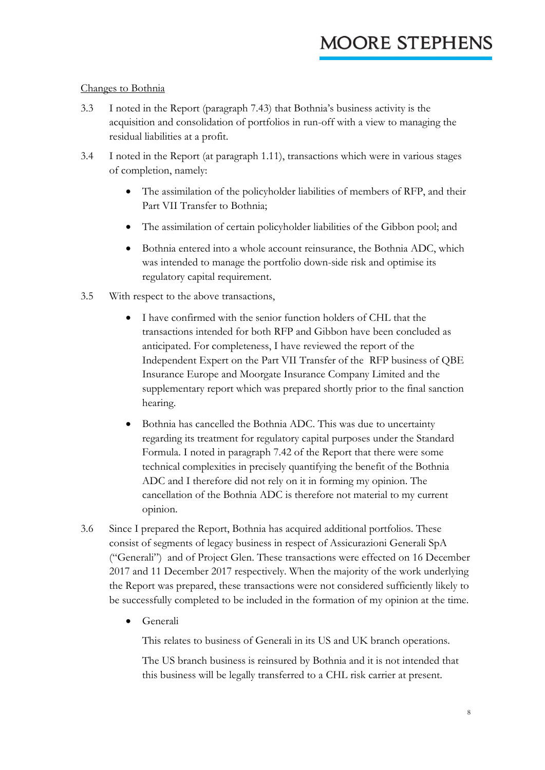### Changes to Bothnia

- 3.3 I noted in the Report (paragraph 7.43) that Bothnia's business activity is the acquisition and consolidation of portfolios in run-off with a view to managing the residual liabilities at a profit.
- 3.4 I noted in the Report (at paragraph 1.11), transactions which were in various stages of completion, namely:
	- The assimilation of the policyholder liabilities of members of RFP, and their Part VII Transfer to Bothnia;
	- The assimilation of certain policyholder liabilities of the Gibbon pool; and
	- Bothnia entered into a whole account reinsurance, the Bothnia ADC, which was intended to manage the portfolio down-side risk and optimise its regulatory capital requirement.
- 3.5 With respect to the above transactions,
	- I have confirmed with the senior function holders of CHL that the transactions intended for both RFP and Gibbon have been concluded as anticipated. For completeness, I have reviewed the report of the Independent Expert on the Part VII Transfer of the RFP business of QBE Insurance Europe and Moorgate Insurance Company Limited and the supplementary report which was prepared shortly prior to the final sanction hearing.
	- Bothnia has cancelled the Bothnia ADC. This was due to uncertainty regarding its treatment for regulatory capital purposes under the Standard Formula. I noted in paragraph 7.42 of the Report that there were some technical complexities in precisely quantifying the benefit of the Bothnia ADC and I therefore did not rely on it in forming my opinion. The cancellation of the Bothnia ADC is therefore not material to my current opinion.
- 3.6 Since I prepared the Report, Bothnia has acquired additional portfolios. These consist of segments of legacy business in respect of Assicurazioni Generali SpA ("Generali") and of Project Glen. These transactions were effected on 16 December 2017 and 11 December 2017 respectively. When the majority of the work underlying the Report was prepared, these transactions were not considered sufficiently likely to be successfully completed to be included in the formation of my opinion at the time.
	- Generali

This relates to business of Generali in its US and UK branch operations.

The US branch business is reinsured by Bothnia and it is not intended that this business will be legally transferred to a CHL risk carrier at present.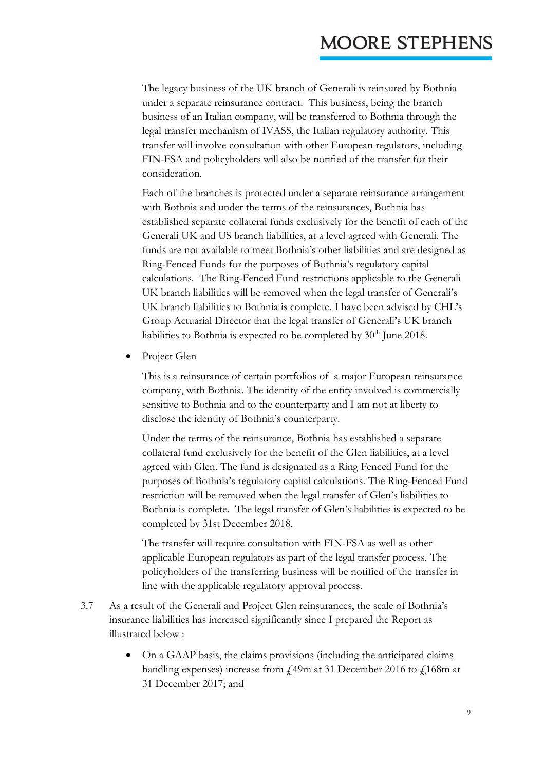The legacy business of the UK branch of Generali is reinsured by Bothnia under a separate reinsurance contract. This business, being the branch business of an Italian company, will be transferred to Bothnia through the legal transfer mechanism of IVASS, the Italian regulatory authority. This transfer will involve consultation with other European regulators, including FIN-FSA and policyholders will also be notified of the transfer for their consideration.

Each of the branches is protected under a separate reinsurance arrangement with Bothnia and under the terms of the reinsurances, Bothnia has established separate collateral funds exclusively for the benefit of each of the Generali UK and US branch liabilities, at a level agreed with Generali. The funds are not available to meet Bothnia's other liabilities and are designed as Ring-Fenced Funds for the purposes of Bothnia's regulatory capital calculations. The Ring-Fenced Fund restrictions applicable to the Generali UK branch liabilities will be removed when the legal transfer of Generali's UK branch liabilities to Bothnia is complete. I have been advised by CHL's Group Actuarial Director that the legal transfer of Generali's UK branch liabilities to Bothnia is expected to be completed by  $30<sup>th</sup>$  June 2018.

Project Glen

This is a reinsurance of certain portfolios of a major European reinsurance company, with Bothnia. The identity of the entity involved is commercially sensitive to Bothnia and to the counterparty and I am not at liberty to disclose the identity of Bothnia's counterparty.

Under the terms of the reinsurance, Bothnia has established a separate collateral fund exclusively for the benefit of the Glen liabilities, at a level agreed with Glen. The fund is designated as a Ring Fenced Fund for the purposes of Bothnia's regulatory capital calculations. The Ring-Fenced Fund restriction will be removed when the legal transfer of Glen's liabilities to Bothnia is complete. The legal transfer of Glen's liabilities is expected to be completed by 31st December 2018.

The transfer will require consultation with FIN-FSA as well as other applicable European regulators as part of the legal transfer process. The policyholders of the transferring business will be notified of the transfer in line with the applicable regulatory approval process.

- 3.7 As a result of the Generali and Project Glen reinsurances, the scale of Bothnia's insurance liabilities has increased significantly since I prepared the Report as illustrated below :
	- On a GAAP basis, the claims provisions (including the anticipated claims) handling expenses) increase from  $\ell$ 49m at 31 December 2016 to  $\ell$ 168m at 31 December 2017; and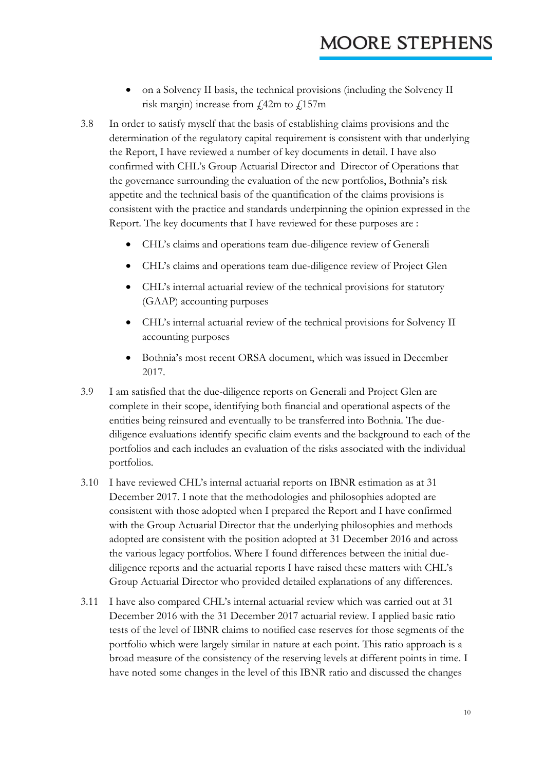- on a Solvency II basis, the technical provisions (including the Solvency II risk margin) increase from  $\frac{1}{42m}$  to  $\frac{1}{157m}$
- <span id="page-9-0"></span>3.8 In order to satisfy myself that the basis of establishing claims provisions and the determination of the regulatory capital requirement is consistent with that underlying the Report, I have reviewed a number of key documents in detail. I have also confirmed with CHL's Group Actuarial Director and Director of Operations that the governance surrounding the evaluation of the new portfolios, Bothnia's risk appetite and the technical basis of the quantification of the claims provisions is consistent with the practice and standards underpinning the opinion expressed in the Report. The key documents that I have reviewed for these purposes are :
	- CHL's claims and operations team due-diligence review of Generali
	- CHL's claims and operations team due-diligence review of Project Glen
	- CHL's internal actuarial review of the technical provisions for statutory (GAAP) accounting purposes
	- CHL's internal actuarial review of the technical provisions for Solvency II accounting purposes
	- Bothnia's most recent ORSA document, which was issued in December 2017.
- 3.9 I am satisfied that the due-diligence reports on Generali and Project Glen are complete in their scope, identifying both financial and operational aspects of the entities being reinsured and eventually to be transferred into Bothnia. The duediligence evaluations identify specific claim events and the background to each of the portfolios and each includes an evaluation of the risks associated with the individual portfolios.
- 3.10 I have reviewed CHL's internal actuarial reports on IBNR estimation as at 31 December 2017. I note that the methodologies and philosophies adopted are consistent with those adopted when I prepared the Report and I have confirmed with the Group Actuarial Director that the underlying philosophies and methods adopted are consistent with the position adopted at 31 December 2016 and across the various legacy portfolios. Where I found differences between the initial duediligence reports and the actuarial reports I have raised these matters with CHL's Group Actuarial Director who provided detailed explanations of any differences.
- 3.11 I have also compared CHL's internal actuarial review which was carried out at 31 December 2016 with the 31 December 2017 actuarial review. I applied basic ratio tests of the level of IBNR claims to notified case reserves for those segments of the portfolio which were largely similar in nature at each point. This ratio approach is a broad measure of the consistency of the reserving levels at different points in time. I have noted some changes in the level of this IBNR ratio and discussed the changes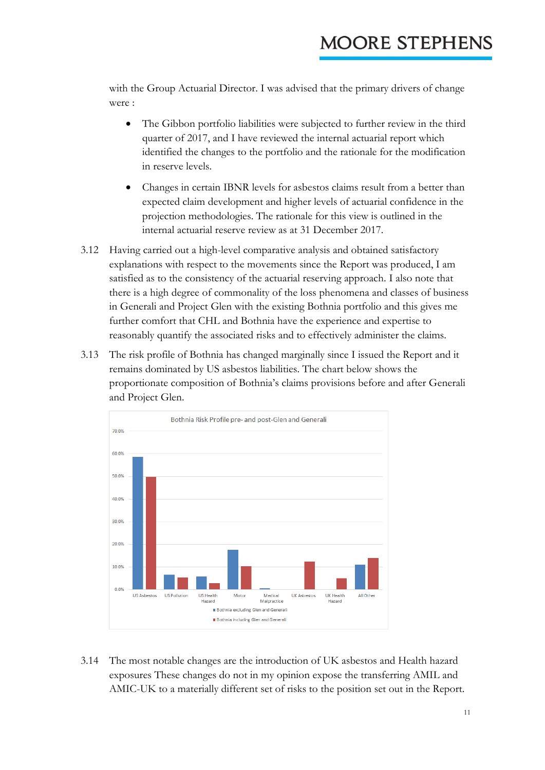with the Group Actuarial Director. I was advised that the primary drivers of change were :

- The Gibbon portfolio liabilities were subjected to further review in the third quarter of 2017, and I have reviewed the internal actuarial report which identified the changes to the portfolio and the rationale for the modification in reserve levels.
- Changes in certain IBNR levels for asbestos claims result from a better than expected claim development and higher levels of actuarial confidence in the projection methodologies. The rationale for this view is outlined in the internal actuarial reserve review as at 31 December 2017.
- <span id="page-10-0"></span>3.12 Having carried out a high-level comparative analysis and obtained satisfactory explanations with respect to the movements since the Report was produced, I am satisfied as to the consistency of the actuarial reserving approach. I also note that there is a high degree of commonality of the loss phenomena and classes of business in Generali and Project Glen with the existing Bothnia portfolio and this gives me further comfort that CHL and Bothnia have the experience and expertise to reasonably quantify the associated risks and to effectively administer the claims.
- <span id="page-10-1"></span>3.13 The risk profile of Bothnia has changed marginally since I issued the Report and it remains dominated by US asbestos liabilities. The chart below shows the proportionate composition of Bothnia's claims provisions before and after Generali and Project Glen.



<span id="page-10-2"></span>3.14 The most notable changes are the introduction of UK asbestos and Health hazard exposures These changes do not in my opinion expose the transferring AMIL and AMIC-UK to a materially different set of risks to the position set out in the Report.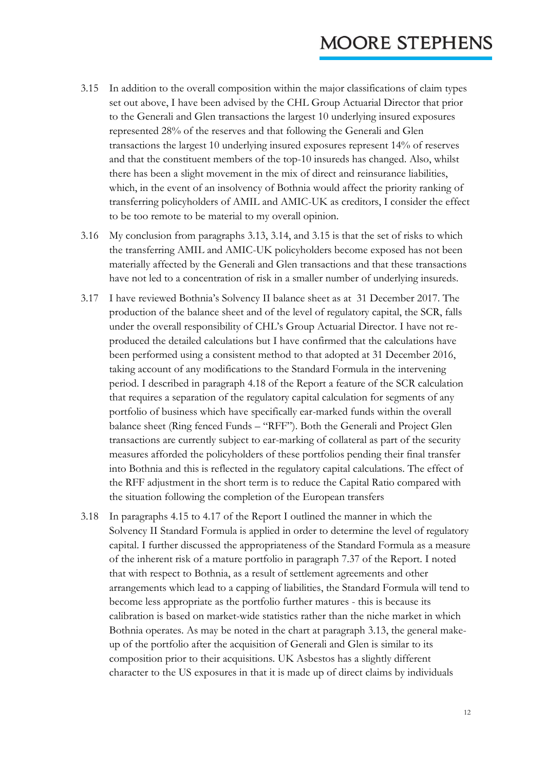- <span id="page-11-0"></span>3.15 In addition to the overall composition within the major classifications of claim types set out above, I have been advised by the CHL Group Actuarial Director that prior to the Generali and Glen transactions the largest 10 underlying insured exposures represented 28% of the reserves and that following the Generali and Glen transactions the largest 10 underlying insured exposures represent 14% of reserves and that the constituent members of the top-10 insureds has changed. Also, whilst there has been a slight movement in the mix of direct and reinsurance liabilities, which, in the event of an insolvency of Bothnia would affect the priority ranking of transferring policyholders of AMIL and AMIC-UK as creditors, I consider the effect to be too remote to be material to my overall opinion.
- 3.16 My conclusion from paragraphs [3.13,](#page-10-1) [3.14,](#page-10-2) and [3.15](#page-11-0) is that the set of risks to which the transferring AMIL and AMIC-UK policyholders become exposed has not been materially affected by the Generali and Glen transactions and that these transactions have not led to a concentration of risk in a smaller number of underlying insureds.
- 3.17 I have reviewed Bothnia's Solvency II balance sheet as at 31 December 2017. The production of the balance sheet and of the level of regulatory capital, the SCR, falls under the overall responsibility of CHL's Group Actuarial Director. I have not reproduced the detailed calculations but I have confirmed that the calculations have been performed using a consistent method to that adopted at 31 December 2016, taking account of any modifications to the Standard Formula in the intervening period. I described in paragraph 4.18 of the Report a feature of the SCR calculation that requires a separation of the regulatory capital calculation for segments of any portfolio of business which have specifically ear-marked funds within the overall balance sheet (Ring fenced Funds – "RFF"). Both the Generali and Project Glen transactions are currently subject to ear-marking of collateral as part of the security measures afforded the policyholders of these portfolios pending their final transfer into Bothnia and this is reflected in the regulatory capital calculations. The effect of the RFF adjustment in the short term is to reduce the Capital Ratio compared with the situation following the completion of the European transfers
- 3.18 In paragraphs 4.15 to 4.17 of the Report I outlined the manner in which the Solvency II Standard Formula is applied in order to determine the level of regulatory capital. I further discussed the appropriateness of the Standard Formula as a measure of the inherent risk of a mature portfolio in paragraph 7.37 of the Report. I noted that with respect to Bothnia, as a result of settlement agreements and other arrangements which lead to a capping of liabilities, the Standard Formula will tend to become less appropriate as the portfolio further matures - this is because its calibration is based on market-wide statistics rather than the niche market in which Bothnia operates. As may be noted in the chart at paragraph [3.13,](#page-10-1) the general makeup of the portfolio after the acquisition of Generali and Glen is similar to its composition prior to their acquisitions. UK Asbestos has a slightly different character to the US exposures in that it is made up of direct claims by individuals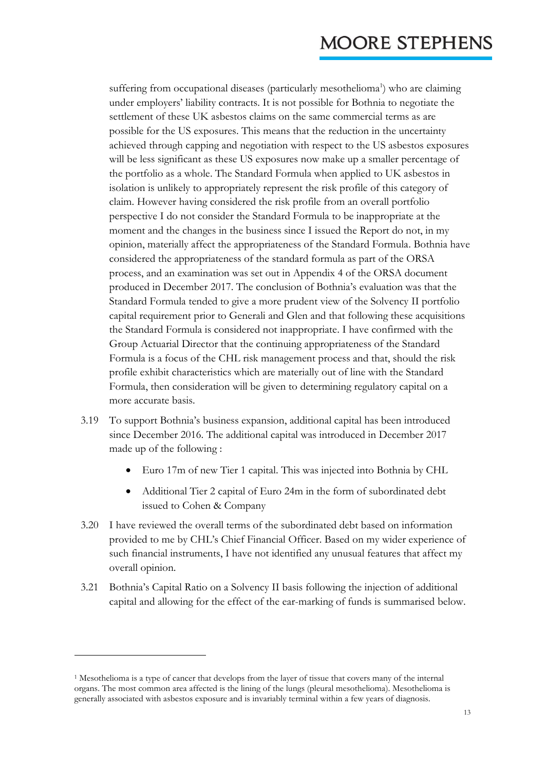suffering from occupational diseases (particularly mesothelioma<sup>1</sup>) who are claiming under employers' liability contracts. It is not possible for Bothnia to negotiate the settlement of these UK asbestos claims on the same commercial terms as are possible for the US exposures. This means that the reduction in the uncertainty achieved through capping and negotiation with respect to the US asbestos exposures will be less significant as these US exposures now make up a smaller percentage of the portfolio as a whole. The Standard Formula when applied to UK asbestos in isolation is unlikely to appropriately represent the risk profile of this category of claim. However having considered the risk profile from an overall portfolio perspective I do not consider the Standard Formula to be inappropriate at the moment and the changes in the business since I issued the Report do not, in my opinion, materially affect the appropriateness of the Standard Formula. Bothnia have considered the appropriateness of the standard formula as part of the ORSA process, and an examination was set out in Appendix 4 of the ORSA document produced in December 2017. The conclusion of Bothnia's evaluation was that the Standard Formula tended to give a more prudent view of the Solvency II portfolio capital requirement prior to Generali and Glen and that following these acquisitions the Standard Formula is considered not inappropriate. I have confirmed with the Group Actuarial Director that the continuing appropriateness of the Standard Formula is a focus of the CHL risk management process and that, should the risk profile exhibit characteristics which are materially out of line with the Standard Formula, then consideration will be given to determining regulatory capital on a more accurate basis.

- 3.19 To support Bothnia's business expansion, additional capital has been introduced since December 2016. The additional capital was introduced in December 2017 made up of the following :
	- Euro 17m of new Tier 1 capital. This was injected into Bothnia by CHL
	- Additional Tier 2 capital of Euro 24m in the form of subordinated debt issued to Cohen & Company
- 3.20 I have reviewed the overall terms of the subordinated debt based on information provided to me by CHL's Chief Financial Officer. Based on my wider experience of such financial instruments, I have not identified any unusual features that affect my overall opinion.
- <span id="page-12-0"></span>3.21 Bothnia's Capital Ratio on a Solvency II basis following the injection of additional capital and allowing for the effect of the ear-marking of funds is summarised below.

 $\overline{a}$ 

<sup>1</sup> Mesothelioma is a type of cancer that develops from the layer of tissue that covers many of the internal organs. The most common area affected is the lining of the lungs (pleural mesothelioma). Mesothelioma is generally associated with asbestos exposure and is invariably terminal within a few years of diagnosis.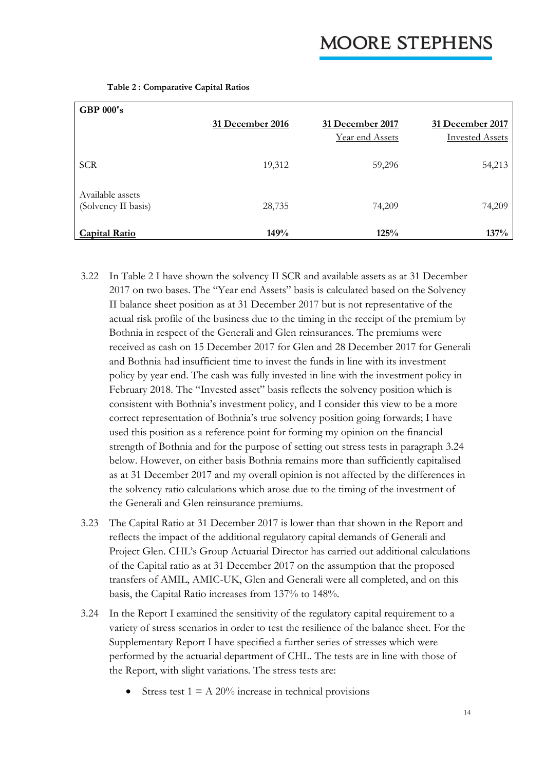<span id="page-13-1"></span>

| <b>GBP 000's</b>                        |                  |                  |                        |
|-----------------------------------------|------------------|------------------|------------------------|
|                                         | 31 December 2016 | 31 December 2017 | 31 December 2017       |
|                                         |                  | Year end Assets  | <b>Invested Assets</b> |
| <b>SCR</b>                              | 19,312           | 59,296           | 54,213                 |
| Available assets<br>(Solvency II basis) | 28,735           | 74,209           | 74,209                 |
| <b>Capital Ratio</b>                    | 149%             | 125%             | 137%                   |

**Table 2 : Comparative Capital Ratios**

- 3.22 In Table 2 I have shown the solvency II SCR and available assets as at 31 December 2017 on two bases. The "Year end Assets" basis is calculated based on the Solvency II balance sheet position as at 31 December 2017 but is not representative of the actual risk profile of the business due to the timing in the receipt of the premium by Bothnia in respect of the Generali and Glen reinsurances. The premiums were received as cash on 15 December 2017 for Glen and 28 December 2017 for Generali and Bothnia had insufficient time to invest the funds in line with its investment policy by year end. The cash was fully invested in line with the investment policy in February 2018. The "Invested asset" basis reflects the solvency position which is consistent with Bothnia's investment policy, and I consider this view to be a more correct representation of Bothnia's true solvency position going forwards; I have used this position as a reference point for forming my opinion on the financial strength of Bothnia and for the purpose of setting out stress tests in paragraph [3.24](#page-13-0) below. However, on either basis Bothnia remains more than sufficiently capitalised as at 31 December 2017 and my overall opinion is not affected by the differences in the solvency ratio calculations which arose due to the timing of the investment of the Generali and Glen reinsurance premiums.
- 3.23 The Capital Ratio at 31 December 2017 is lower than that shown in the Report and reflects the impact of the additional regulatory capital demands of Generali and Project Glen. CHL's Group Actuarial Director has carried out additional calculations of the Capital ratio as at 31 December 2017 on the assumption that the proposed transfers of AMIL, AMIC-UK, Glen and Generali were all completed, and on this basis, the Capital Ratio increases from 137% to 148%.
- <span id="page-13-0"></span>3.24 In the Report I examined the sensitivity of the regulatory capital requirement to a variety of stress scenarios in order to test the resilience of the balance sheet. For the Supplementary Report I have specified a further series of stresses which were performed by the actuarial department of CHL. The tests are in line with those of the Report, with slight variations. The stress tests are:
	- Stress test  $1 = A 20\%$  increase in technical provisions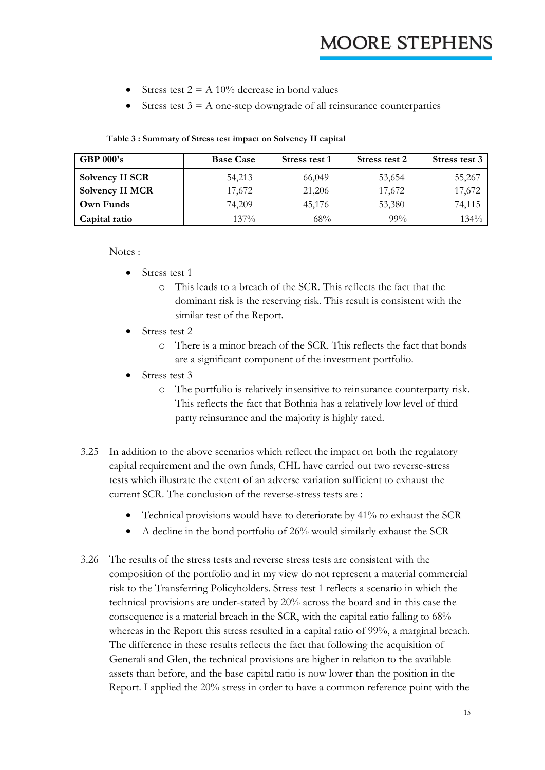- Stress test  $2 = A 10\%$  decrease in bond values
- Stress test  $3 = A$  one-step downgrade of all reinsurance counterparties

|  |  | Table 3 : Summary of Stress test impact on Solvency II capital |  |
|--|--|----------------------------------------------------------------|--|
|  |  |                                                                |  |

| <b>GBP 000's</b>       | <b>Base Case</b> | Stress test 1 | Stress test 2 | Stress test 3 |
|------------------------|------------------|---------------|---------------|---------------|
| <b>Solvency II SCR</b> | 54,213           | 66,049        | 53,654        | 55,267        |
| <b>Solvency II MCR</b> | 17,672           | 21,206        | 17,672        | 17,672        |
| Own Funds              | 74,209           | 45,176        | 53,380        | 74,115        |
| Capital ratio          | 137%             | 68%           | $99\%$        | 134%          |

Notes :

- Stress test 1
	- o This leads to a breach of the SCR. This reflects the fact that the dominant risk is the reserving risk. This result is consistent with the similar test of the Report.
- Stress test 2
	- o There is a minor breach of the SCR. This reflects the fact that bonds are a significant component of the investment portfolio.
- Stress test 3
	- o The portfolio is relatively insensitive to reinsurance counterparty risk. This reflects the fact that Bothnia has a relatively low level of third party reinsurance and the majority is highly rated.
- 3.25 In addition to the above scenarios which reflect the impact on both the regulatory capital requirement and the own funds, CHL have carried out two reverse-stress tests which illustrate the extent of an adverse variation sufficient to exhaust the current SCR. The conclusion of the reverse-stress tests are :
	- Technical provisions would have to deteriorate by 41% to exhaust the SCR
	- A decline in the bond portfolio of 26% would similarly exhaust the SCR
- 3.26 The results of the stress tests and reverse stress tests are consistent with the composition of the portfolio and in my view do not represent a material commercial risk to the Transferring Policyholders. Stress test 1 reflects a scenario in which the technical provisions are under-stated by 20% across the board and in this case the consequence is a material breach in the SCR, with the capital ratio falling to 68% whereas in the Report this stress resulted in a capital ratio of 99%, a marginal breach. The difference in these results reflects the fact that following the acquisition of Generali and Glen, the technical provisions are higher in relation to the available assets than before, and the base capital ratio is now lower than the position in the Report. I applied the 20% stress in order to have a common reference point with the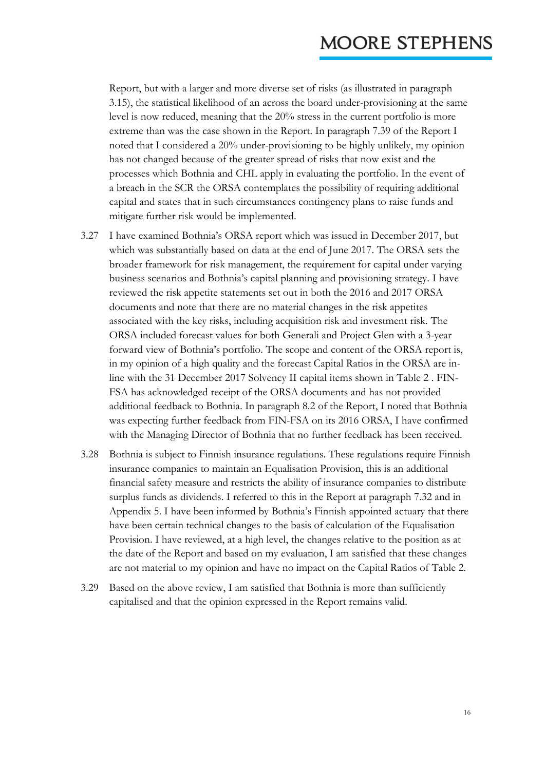Report, but with a larger and more diverse set of risks (as illustrated in paragraph [3.15\)](#page-11-0), the statistical likelihood of an across the board under-provisioning at the same level is now reduced, meaning that the 20% stress in the current portfolio is more extreme than was the case shown in the Report. In paragraph 7.39 of the Report I noted that I considered a 20% under-provisioning to be highly unlikely, my opinion has not changed because of the greater spread of risks that now exist and the processes which Bothnia and CHL apply in evaluating the portfolio. In the event of a breach in the SCR the ORSA contemplates the possibility of requiring additional capital and states that in such circumstances contingency plans to raise funds and mitigate further risk would be implemented.

- 3.27 I have examined Bothnia's ORSA report which was issued in December 2017, but which was substantially based on data at the end of June 2017. The ORSA sets the broader framework for risk management, the requirement for capital under varying business scenarios and Bothnia's capital planning and provisioning strategy. I have reviewed the risk appetite statements set out in both the 2016 and 2017 ORSA documents and note that there are no material changes in the risk appetites associated with the key risks, including acquisition risk and investment risk. The ORSA included forecast values for both Generali and Project Glen with a 3-year forward view of Bothnia's portfolio. The scope and content of the ORSA report is, in my opinion of a high quality and the forecast Capital Ratios in the ORSA are inline with the 31 December 2017 Solvency II capital items shown in [Table 2](#page-13-1) . FIN-FSA has acknowledged receipt of the ORSA documents and has not provided additional feedback to Bothnia. In paragraph 8.2 of the Report, I noted that Bothnia was expecting further feedback from FIN-FSA on its 2016 ORSA, I have confirmed with the Managing Director of Bothnia that no further feedback has been received.
- 3.28 Bothnia is subject to Finnish insurance regulations. These regulations require Finnish insurance companies to maintain an Equalisation Provision, this is an additional financial safety measure and restricts the ability of insurance companies to distribute surplus funds as dividends. I referred to this in the Report at paragraph 7.32 and in Appendix 5. I have been informed by Bothnia's Finnish appointed actuary that there have been certain technical changes to the basis of calculation of the Equalisation Provision. I have reviewed, at a high level, the changes relative to the position as at the date of the Report and based on my evaluation, I am satisfied that these changes are not material to my opinion and have no impact on the Capital Ratios of [Table 2.](#page-13-1)
- 3.29 Based on the above review, I am satisfied that Bothnia is more than sufficiently capitalised and that the opinion expressed in the Report remains valid.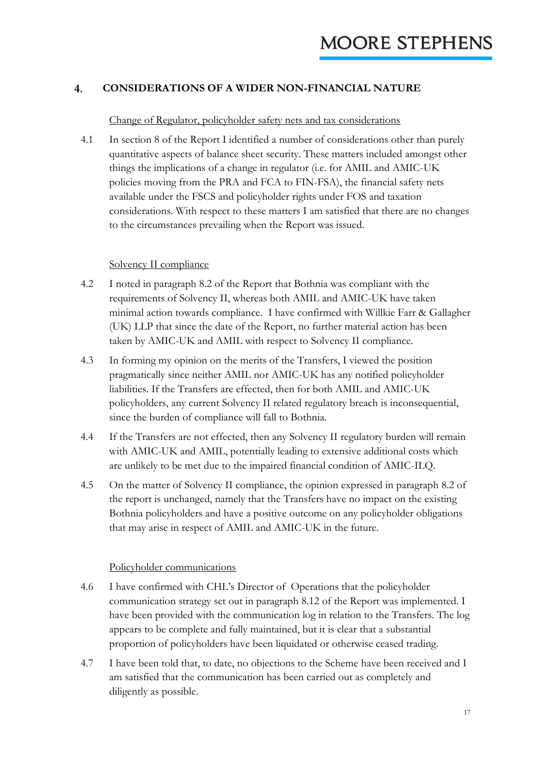#### <span id="page-16-0"></span> $\overline{4}$ . **CONSIDERATIONS OF A WIDER NON-FINANCIAL NATURE**

#### Change of Regulator, policyholder safety nets and tax considerations

4.1 In section 8 of the Report I identified a number of considerations other than purely quantitative aspects of balance sheet security. These matters included amongst other things the implications of a change in regulator (i.e. for AMIL and AMIC-UK policies moving from the PRA and FCA to FIN-FSA), the financial safety nets available under the FSCS and policyholder rights under FOS and taxation considerations. With respect to these matters I am satisfied that there are no changes to the circumstances prevailing when the Report was issued.

### Solvency II compliance

- 4.2 I noted in paragraph 8.2 of the Report that Bothnia was compliant with the requirements of Solvency II, whereas both AMIL and AMIC-UK have taken minimal action towards compliance. I have confirmed with Willkie Farr & Gallagher (UK) LLP that since the date of the Report, no further material action has been taken by AMIC-UK and AMIL with respect to Solvency II compliance.
- 4.3 In forming my opinion on the merits of the Transfers, I viewed the position pragmatically since neither AMIL nor AMIC-UK has any notified policyholder liabilities. If the Transfers are effected, then for both AMIL and AMIC-UK policyholders, any current Solvency II related regulatory breach is inconsequential, since the burden of compliance will fall to Bothnia.
- 4.4 If the Transfers are not effected, then any Solvency II regulatory burden will remain with AMIC-UK and AMIL, potentially leading to extensive additional costs which are unlikely to be met due to the impaired financial condition of AMIC-ILQ.
- 4.5 On the matter of Solvency II compliance, the opinion expressed in paragraph 8.2 of the report is unchanged, namely that the Transfers have no impact on the existing Bothnia policyholders and have a positive outcome on any policyholder obligations that may arise in respect of AMIL and AMIC-UK in the future.

### Policyholder communications

- 4.6 I have confirmed with CHL's Director of Operations that the policyholder communication strategy set out in paragraph 8.12 of the Report was implemented. I have been provided with the communication log in relation to the Transfers. The log appears to be complete and fully maintained, but it is clear that a substantial proportion of policyholders have been liquidated or otherwise ceased trading.
- 4.7 I have been told that, to date, no objections to the Scheme have been received and I am satisfied that the communication has been carried out as completely and diligently as possible.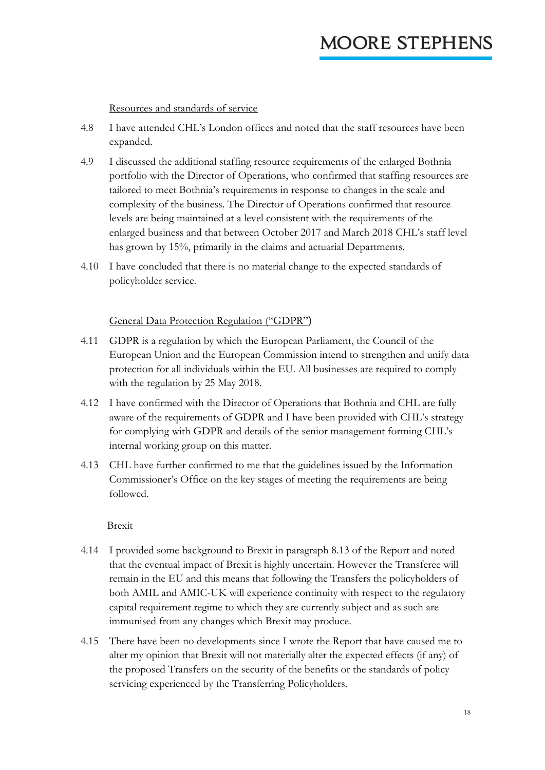### Resources and standards of service

- 4.8 I have attended CHL's London offices and noted that the staff resources have been expanded.
- 4.9 I discussed the additional staffing resource requirements of the enlarged Bothnia portfolio with the Director of Operations, who confirmed that staffing resources are tailored to meet Bothnia's requirements in response to changes in the scale and complexity of the business. The Director of Operations confirmed that resource levels are being maintained at a level consistent with the requirements of the enlarged business and that between October 2017 and March 2018 CHL's staff level has grown by 15%, primarily in the claims and actuarial Departments.
- 4.10 I have concluded that there is no material change to the expected standards of policyholder service.

### General Data Protection Regulation ("GDPR")

- 4.11 GDPR is a regulation by which the European Parliament, the Council of the European Union and the European Commission intend to strengthen and unify data protection for all individuals within the EU. All businesses are required to comply with the regulation by 25 May 2018.
- 4.12 I have confirmed with the Director of Operations that Bothnia and CHL are fully aware of the requirements of GDPR and I have been provided with CHL's strategy for complying with GDPR and details of the senior management forming CHL's internal working group on this matter.
- 4.13 CHL have further confirmed to me that the guidelines issued by the Information Commissioner's Office on the key stages of meeting the requirements are being followed.

#### Brexit

- 4.14 I provided some background to Brexit in paragraph 8.13 of the Report and noted that the eventual impact of Brexit is highly uncertain. However the Transferee will remain in the EU and this means that following the Transfers the policyholders of both AMIL and AMIC-UK will experience continuity with respect to the regulatory capital requirement regime to which they are currently subject and as such are immunised from any changes which Brexit may produce.
- 4.15 There have been no developments since I wrote the Report that have caused me to alter my opinion that Brexit will not materially alter the expected effects (if any) of the proposed Transfers on the security of the benefits or the standards of policy servicing experienced by the Transferring Policyholders.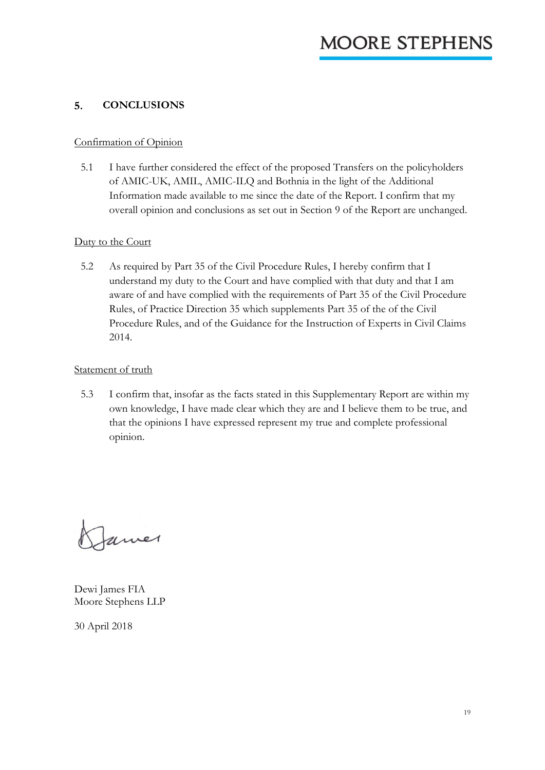#### <span id="page-18-0"></span>5. **CONCLUSIONS**

#### Confirmation of Opinion

5.1 I have further considered the effect of the proposed Transfers on the policyholders of AMIC-UK, AMIL, AMIC-ILQ and Bothnia in the light of the Additional Information made available to me since the date of the Report. I confirm that my overall opinion and conclusions as set out in Section 9 of the Report are unchanged.

#### Duty to the Court

5.2 As required by Part 35 of the Civil Procedure Rules, I hereby confirm that I understand my duty to the Court and have complied with that duty and that I am aware of and have complied with the requirements of Part 35 of the Civil Procedure Rules, of Practice Direction 35 which supplements Part 35 of the of the Civil Procedure Rules, and of the Guidance for the Instruction of Experts in Civil Claims 2014.

#### Statement of truth

5.3 I confirm that, insofar as the facts stated in this Supplementary Report are within my own knowledge, I have made clear which they are and I believe them to be true, and that the opinions I have expressed represent my true and complete professional opinion.

arver

Dewi James FIA Moore Stephens LLP

30 April 2018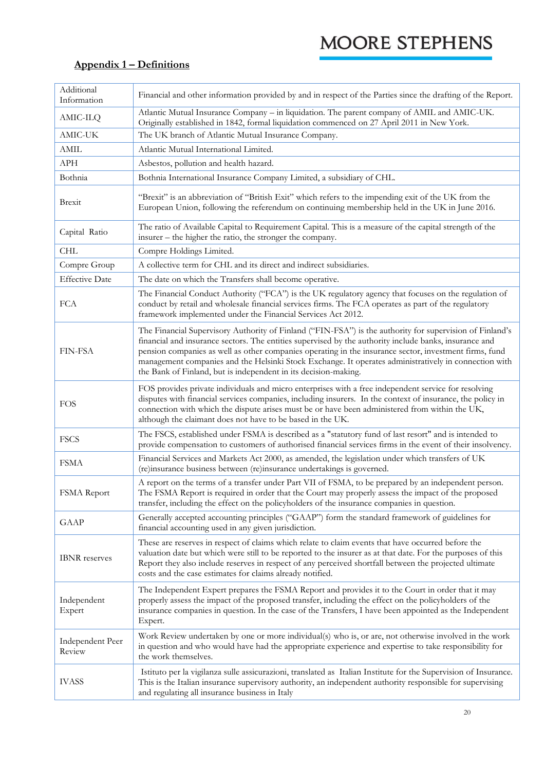### **Appendix 1 – Definitions**

| Additional<br>Information  | Financial and other information provided by and in respect of the Parties since the drafting of the Report.                                                                                                                                                                                                                                                                                                                                                                                              |  |  |  |
|----------------------------|----------------------------------------------------------------------------------------------------------------------------------------------------------------------------------------------------------------------------------------------------------------------------------------------------------------------------------------------------------------------------------------------------------------------------------------------------------------------------------------------------------|--|--|--|
| AMIC-ILQ                   | Atlantic Mutual Insurance Company - in liquidation. The parent company of AMIL and AMIC-UK.<br>Originally established in 1842, formal liquidation commenced on 27 April 2011 in New York.                                                                                                                                                                                                                                                                                                                |  |  |  |
| <b>AMIC-UK</b>             | The UK branch of Atlantic Mutual Insurance Company.                                                                                                                                                                                                                                                                                                                                                                                                                                                      |  |  |  |
| AMIL                       | Atlantic Mutual International Limited.                                                                                                                                                                                                                                                                                                                                                                                                                                                                   |  |  |  |
| APH                        | Asbestos, pollution and health hazard.                                                                                                                                                                                                                                                                                                                                                                                                                                                                   |  |  |  |
| Bothnia                    | Bothnia International Insurance Company Limited, a subsidiary of CHL.                                                                                                                                                                                                                                                                                                                                                                                                                                    |  |  |  |
| <b>Brexit</b>              | "Brexit" is an abbreviation of "British Exit" which refers to the impending exit of the UK from the<br>European Union, following the referendum on continuing membership held in the UK in June 2016.                                                                                                                                                                                                                                                                                                    |  |  |  |
| Capital Ratio              | The ratio of Available Capital to Requirement Capital. This is a measure of the capital strength of the<br>insurer – the higher the ratio, the stronger the company.                                                                                                                                                                                                                                                                                                                                     |  |  |  |
| <b>CHL</b>                 | Compre Holdings Limited.                                                                                                                                                                                                                                                                                                                                                                                                                                                                                 |  |  |  |
| Compre Group               | A collective term for CHL and its direct and indirect subsidiaries.                                                                                                                                                                                                                                                                                                                                                                                                                                      |  |  |  |
| <b>Effective Date</b>      | The date on which the Transfers shall become operative.                                                                                                                                                                                                                                                                                                                                                                                                                                                  |  |  |  |
| <b>FCA</b>                 | The Financial Conduct Authority ("FCA") is the UK regulatory agency that focuses on the regulation of<br>conduct by retail and wholesale financial services firms. The FCA operates as part of the regulatory<br>framework implemented under the Financial Services Act 2012.                                                                                                                                                                                                                            |  |  |  |
| <b>FIN-FSA</b>             | The Financial Supervisory Authority of Finland ("FIN-FSA") is the authority for supervision of Finland's<br>financial and insurance sectors. The entities supervised by the authority include banks, insurance and<br>pension companies as well as other companies operating in the insurance sector, investment firms, fund<br>management companies and the Helsinki Stock Exchange. It operates administratively in connection with<br>the Bank of Finland, but is independent in its decision-making. |  |  |  |
| <b>FOS</b>                 | FOS provides private individuals and micro enterprises with a free independent service for resolving<br>disputes with financial services companies, including insurers. In the context of insurance, the policy in<br>connection with which the dispute arises must be or have been administered from within the UK,<br>although the claimant does not have to be based in the UK.                                                                                                                       |  |  |  |
| <b>FSCS</b>                | The FSCS, established under FSMA is described as a "statutory fund of last resort" and is intended to<br>provide compensation to customers of authorised financial services firms in the event of their insolvency.                                                                                                                                                                                                                                                                                      |  |  |  |
| <b>FSMA</b>                | Financial Services and Markets Act 2000, as amended, the legislation under which transfers of UK<br>(re)insurance business between (re)insurance undertakings is governed.                                                                                                                                                                                                                                                                                                                               |  |  |  |
| FSMA Report                | A report on the terms of a transfer under Part VII of FSMA, to be prepared by an independent person.<br>The FSMA Report is required in order that the Court may properly assess the impact of the proposed<br>transfer, including the effect on the policyholders of the insurance companies in question.                                                                                                                                                                                                |  |  |  |
| GAAP                       | Generally accepted accounting principles ("GAAP") form the standard framework of guidelines for<br>financial accounting used in any given jurisdiction.                                                                                                                                                                                                                                                                                                                                                  |  |  |  |
| <b>IBNR</b> reserves       | These are reserves in respect of claims which relate to claim events that have occurred before the<br>valuation date but which were still to be reported to the insurer as at that date. For the purposes of this<br>Report they also include reserves in respect of any perceived shortfall between the projected ultimate<br>costs and the case estimates for claims already notified.                                                                                                                 |  |  |  |
| Independent<br>Expert      | The Independent Expert prepares the FSMA Report and provides it to the Court in order that it may<br>properly assess the impact of the proposed transfer, including the effect on the policyholders of the<br>insurance companies in question. In the case of the Transfers, I have been appointed as the Independent<br>Expert.                                                                                                                                                                         |  |  |  |
| Independent Peer<br>Review | Work Review undertaken by one or more individual(s) who is, or are, not otherwise involved in the work<br>in question and who would have had the appropriate experience and expertise to take responsibility for<br>the work themselves.                                                                                                                                                                                                                                                                 |  |  |  |
| <b>IVASS</b>               | Istituto per la vigilanza sulle assicurazioni, translated as Italian Institute for the Supervision of Insurance.<br>This is the Italian insurance supervisory authority, an independent authority responsible for supervising<br>and regulating all insurance business in Italy                                                                                                                                                                                                                          |  |  |  |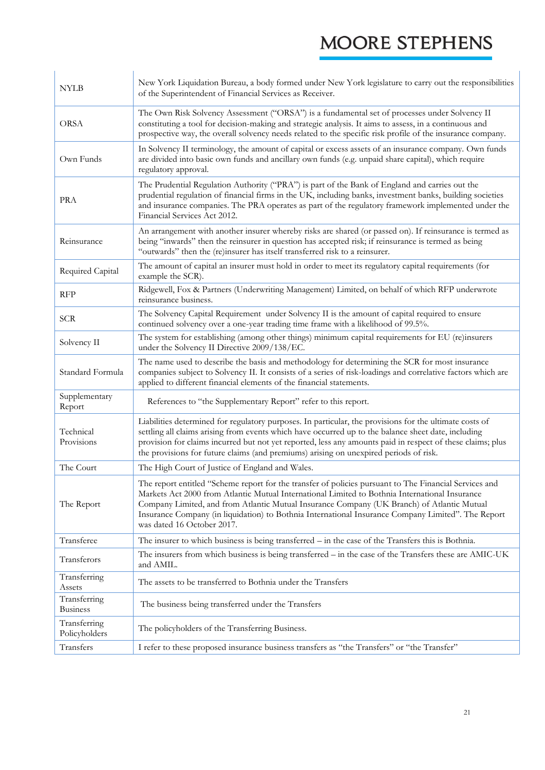| $\ensuremath{\mathsf{NYLB}}$    | New York Liquidation Bureau, a body formed under New York legislature to carry out the responsibilities<br>of the Superintendent of Financial Services as Receiver.                                                                                                                                                                                                                                                                        |
|---------------------------------|--------------------------------------------------------------------------------------------------------------------------------------------------------------------------------------------------------------------------------------------------------------------------------------------------------------------------------------------------------------------------------------------------------------------------------------------|
| <b>ORSA</b>                     | The Own Risk Solvency Assessment ("ORSA") is a fundamental set of processes under Solvency II<br>constituting a tool for decision-making and strategic analysis. It aims to assess, in a continuous and<br>prospective way, the overall solvency needs related to the specific risk profile of the insurance company.                                                                                                                      |
| Own Funds                       | In Solvency II terminology, the amount of capital or excess assets of an insurance company. Own funds<br>are divided into basic own funds and ancillary own funds (e.g. unpaid share capital), which require<br>regulatory approval.                                                                                                                                                                                                       |
| <b>PRA</b>                      | The Prudential Regulation Authority ("PRA") is part of the Bank of England and carries out the<br>prudential regulation of financial firms in the UK, including banks, investment banks, building societies<br>and insurance companies. The PRA operates as part of the regulatory framework implemented under the<br>Financial Services Act 2012.                                                                                         |
| Reinsurance                     | An arrangement with another insurer whereby risks are shared (or passed on). If reinsurance is termed as<br>being "inwards" then the reinsurer in question has accepted risk; if reinsurance is termed as being<br>"outwards" then the (re)insurer has itself transferred risk to a reinsurer.                                                                                                                                             |
| Required Capital                | The amount of capital an insurer must hold in order to meet its regulatory capital requirements (for<br>example the SCR).                                                                                                                                                                                                                                                                                                                  |
| <b>RFP</b>                      | Ridgewell, Fox & Partners (Underwriting Management) Limited, on behalf of which RFP underwrote<br>reinsurance business.                                                                                                                                                                                                                                                                                                                    |
| <b>SCR</b>                      | The Solvency Capital Requirement under Solvency II is the amount of capital required to ensure<br>continued solvency over a one-year trading time frame with a likelihood of 99.5%.                                                                                                                                                                                                                                                        |
| Solvency II                     | The system for establishing (among other things) minimum capital requirements for EU (re)insurers<br>under the Solvency II Directive 2009/138/EC.                                                                                                                                                                                                                                                                                          |
| Standard Formula                | The name used to describe the basis and methodology for determining the SCR for most insurance<br>companies subject to Solvency II. It consists of a series of risk-loadings and correlative factors which are<br>applied to different financial elements of the financial statements.                                                                                                                                                     |
| Supplementary<br>Report         | References to "the Supplementary Report" refer to this report.                                                                                                                                                                                                                                                                                                                                                                             |
| Technical<br>Provisions         | Liabilities determined for regulatory purposes. In particular, the provisions for the ultimate costs of<br>settling all claims arising from events which have occurred up to the balance sheet date, including<br>provision for claims incurred but not yet reported, less any amounts paid in respect of these claims; plus<br>the provisions for future claims (and premiums) arising on unexpired periods of risk.                      |
| The Court                       | The High Court of Justice of England and Wales.                                                                                                                                                                                                                                                                                                                                                                                            |
| The Report                      | The report entitled "Scheme report for the transfer of policies pursuant to The Financial Services and<br>Markets Act 2000 from Atlantic Mutual International Limited to Bothnia International Insurance<br>Company Limited, and from Atlantic Mutual Insurance Company (UK Branch) of Atlantic Mutual<br>Insurance Company (in liquidation) to Bothnia International Insurance Company Limited". The Report<br>was dated 16 October 2017. |
| Transferee                      | The insurer to which business is being transferred - in the case of the Transfers this is Bothnia.                                                                                                                                                                                                                                                                                                                                         |
| Transferors                     | The insurers from which business is being transferred - in the case of the Transfers these are AMIC-UK<br>and AMIL.                                                                                                                                                                                                                                                                                                                        |
| Transferring<br>Assets          | The assets to be transferred to Bothnia under the Transfers                                                                                                                                                                                                                                                                                                                                                                                |
| Transferring<br><b>Business</b> | The business being transferred under the Transfers                                                                                                                                                                                                                                                                                                                                                                                         |
| Transferring<br>Policyholders   | The policyholders of the Transferring Business.                                                                                                                                                                                                                                                                                                                                                                                            |
| Transfers                       | I refer to these proposed insurance business transfers as "the Transfers" or "the Transfer"                                                                                                                                                                                                                                                                                                                                                |